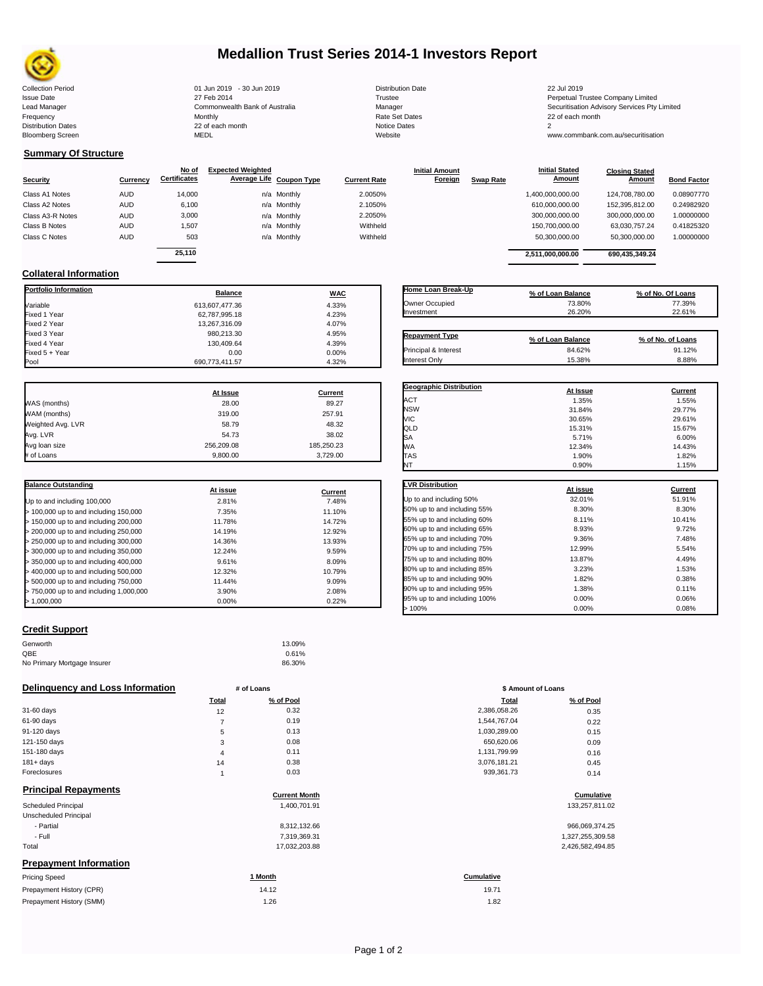

## **Medallion Trust Series 2014-1 Investors Report**

| <b>Collection Period</b>  | 01 Jun 2019 - 30 Jun 2019      | <b>Distribution Date</b> | 22 Jul 2019                                  |
|---------------------------|--------------------------------|--------------------------|----------------------------------------------|
| <b>Issue Date</b>         | 27 Feb 2014                    | Trustee                  | Perpetual Trustee Company Limited            |
| Lead Manager              | Commonwealth Bank of Australia | Manager                  | Securitisation Advisory Services Pty Limited |
| Frequency                 | Monthly                        | Rate Set Dates           | 22 of each month                             |
| <b>Distribution Dates</b> | 22 of each month               | Notice Dates             |                                              |
| <b>Bloomberg Screen</b>   | MEDL                           | Website                  | www.commbank.com.au/securitisation           |
|                           |                                |                          |                                              |

**Initial Amount** 

**Closing Stated Amount**

### **Summary Of Structure**

**Collateral Information**

|                  |            | No of               | <b>Expected Weighted</b> |                     | <b>Initial Amount</b> |                  | <b>Initial Stated</b> | <b>Closing Stated</b> |                    |
|------------------|------------|---------------------|--------------------------|---------------------|-----------------------|------------------|-----------------------|-----------------------|--------------------|
| Security         | Currency   | <b>Certificates</b> | Average Life Coupon Type | <b>Current Rate</b> | <b>Foreign</b>        | <b>Swap Rate</b> | <b>Amount</b>         | <b>Amount</b>         | <b>Bond Factor</b> |
| Class A1 Notes   | <b>AUD</b> | 14,000              | n/a Monthly              | 2.0050%             |                       |                  | 1,400,000,000.00      | 124.708.780.00        | 0.08907770         |
| Class A2 Notes   | <b>AUD</b> | 6,100               | n/a Monthly              | 2.1050%             |                       |                  | 610.000.000.00        | 152.395.812.00        | 0.24982920         |
| Class A3-R Notes | <b>AUD</b> | 3,000               | n/a Monthly              | 2.2050%             |                       |                  | 300,000,000.00        | 300,000,000.00        | 1.00000000         |
| Class B Notes    | <b>AUD</b> | 1,507               | n/a Monthly              | Withheld            |                       |                  | 150.700.000.00        | 63.030.757.24         | 0.41825320         |
| Class C Notes    | <b>AUD</b> | 503                 | n/a Monthly              | Withheld            |                       |                  | 50,300,000.00         | 50,300,000.00         | 1.00000000         |
|                  |            | 25.110              |                          |                     |                       |                  | 2,511,000,000.00      | 690.435.349.24        |                    |

**Portfolio Information Balance WAC** Variable 613,607,477.36 4.33% Fixed 1 Year 62,787,995.18 4.23% Fixed 2 Year 13,267,316.09 4.07% Fixed 3 Year 980,213.30 4.95%

Fixed 5 + Year 0.00 0.00%

690,773,411.57

| Home Loan Break-Up    | % of Loan Balance | % of No. Of Loans |
|-----------------------|-------------------|-------------------|
| Owner Occupied        | 73.80%            | 77.39%            |
| Investment            | 26.20%            | 22.61%            |
| <b>Repayment Type</b> | % of Loan Balance | % of No. of Loans |
| Principal & Interest  | 84.62%            | 91.12%            |
| <b>Interest Only</b>  | 15.38%            | 8.88%             |

**Geographic Distribution At Issue Current**

**Initial Stated** 

|                   | At Issue   | <b>Current</b> |
|-------------------|------------|----------------|
| WAS (months)      | 28.00      | 89.27          |
| WAM (months)      | 319.00     | 257.91         |
| Weighted Avg. LVR | 58.79      | 48.32          |
| Avg. LVR          | 54.73      | 38.02          |
| Avg loan size     | 256,209.08 | 185,250.23     |
| # of Loans        | 9.800.00   | 3.729.00       |

130,409.64 4.39% 4.39%

| <b>Balance Outstanding</b>              | At issue | Current |
|-----------------------------------------|----------|---------|
| Up to and including 100,000             | 2.81%    | 7.48%   |
| $>$ 100,000 up to and including 150,000 | 7.35%    | 11.10%  |
| $>$ 150,000 up to and including 200,000 | 11.78%   | 14.72%  |
| > 200,000 up to and including 250,000   | 14.19%   | 12.92%  |
| > 250,000 up to and including 300,000   | 14.36%   | 13.93%  |
| > 300,000 up to and including 350,000   | 12.24%   | 9.59%   |
| $>$ 350,000 up to and including 400,000 | 9.61%    | 8.09%   |
| $>$ 400,000 up to and including 500,000 | 12.32%   | 10.79%  |
| > 500,000 up to and including 750,000   | 11.44%   | 9.09%   |
| > 750,000 up to and including 1,000,000 | 3.90%    | 2.08%   |
| > 1.000.000                             | 0.00%    | 0.22%   |

| <b>Credit Support</b> |  |
|-----------------------|--|
|                       |  |

| Genworth                    | 13.09% |
|-----------------------------|--------|
| QBE                         | 0.61%  |
| No Primary Mortgage Insurer | 86.30% |

#### **Delinquency and Loss Information # of Loans**

|              | Total | % of Pool | <b>Total</b> | % of Pool |
|--------------|-------|-----------|--------------|-----------|
| 31-60 days   | 12    | 0.32      | 2,386,058.26 | 0.35      |
| 61-90 days   |       | 0.19      | 1,544,767.04 | 0.22      |
| 91-120 days  | 5     | 0.13      | 1,030,289.00 | 0.15      |
| 121-150 days | 3     | 0.08      | 650,620.06   | 0.09      |
| 151-180 days | 4     | 0.11      | 1,131,799.99 | 0.16      |
| $181 + days$ | 14    | 0.38      | 3,076,181.21 | 0.45      |
| Foreclosures |       | 0.03      | 939,361.73   | 0.14      |
| .            |       |           |              |           |

| <b>Principal Repayments</b> |  |
|-----------------------------|--|
|                             |  |

|                               | <b>Current Month</b> | Cumulative       |
|-------------------------------|----------------------|------------------|
| Scheduled Principal           | 1.400.701.91         | 133,257,811.02   |
| Unscheduled Principal         |                      |                  |
| - Partial                     | 8,312,132.66         | 966,069,374.25   |
| - Full                        | 7,319,369.31         | 1,327,255,309.58 |
| Total                         | 17,032,203.88        | 2,426,582,494.85 |
| <b>Prepayment Information</b> |                      |                  |

| <b>Pricing Speed</b>     | * Month | <b>Cumulative</b> |
|--------------------------|---------|-------------------|
| Prepayment History (CPR) | 14.12   | 19.71             |
| Prepayment History (SMM) | 1.26    | 1.82              |
|                          |         |                   |

| ACT                          | 1.35%    | 1.55%          |
|------------------------------|----------|----------------|
| <b>NSW</b>                   | 31.84%   | 29.77%         |
| VIC                          | 30.65%   | 29.61%         |
| QLD                          | 15.31%   | 15.67%         |
| SA                           | 5.71%    | 6.00%          |
| <b>WA</b>                    | 12.34%   | 14.43%         |
| <b>TAS</b>                   | 1.90%    | 1.82%          |
| NT                           | 0.90%    | 1.15%          |
|                              |          |                |
| <b>LVR Distribution</b>      | At issue | <b>Current</b> |
| Up to and including 50%      | 32.01%   | 51.91%         |
| 50% up to and including 55%  | 8.30%    | 8.30%          |
| 55% up to and including 60%  | 8.11%    | 10.41%         |
| 60% up to and including 65%  | 8.93%    | 9.72%          |
| 65% up to and including 70%  | 9.36%    | 7.48%          |
| 70% up to and including 75%  | 12.99%   | 5.54%          |
| 75% up to and including 80%  | 13.87%   | 4.49%          |
| 80% up to and including 85%  | 3.23%    | 1.53%          |
| 85% up to and including 90%  | 1.82%    | 0.38%          |
| 90% up to and including 95%  | 1.38%    | 0.11%          |
| 95% up to and including 100% | 0.00%    | 0.06%          |
| >100%                        | 0.00%    | 0.08%          |

| # of Loans |           | \$ Amount of Loans |           |  |
|------------|-----------|--------------------|-----------|--|
| Total      | % of Pool | Total              | % of Pool |  |
| 12         | 0.32      | 2,386,058.26       | 0.35      |  |
| 7          | 0.19      | 1,544,767.04       | 0.22      |  |
| 5          | 0.13      | 1,030,289.00       | 0.15      |  |
| 3          | 0.08      | 650,620.06         | 0.09      |  |
| 4          | 0.11      | 1,131,799.99       | 0.16      |  |
| 14         | 0.38      | 3,076,181.21       | 0.45      |  |
| 1          | 0.03      | 939,361.73         | 0.14      |  |

## **Current Month Cumulative**

| 966.069.374.25   |
|------------------|
| 1,327,255,309.58 |
| 2.426.582.494.85 |